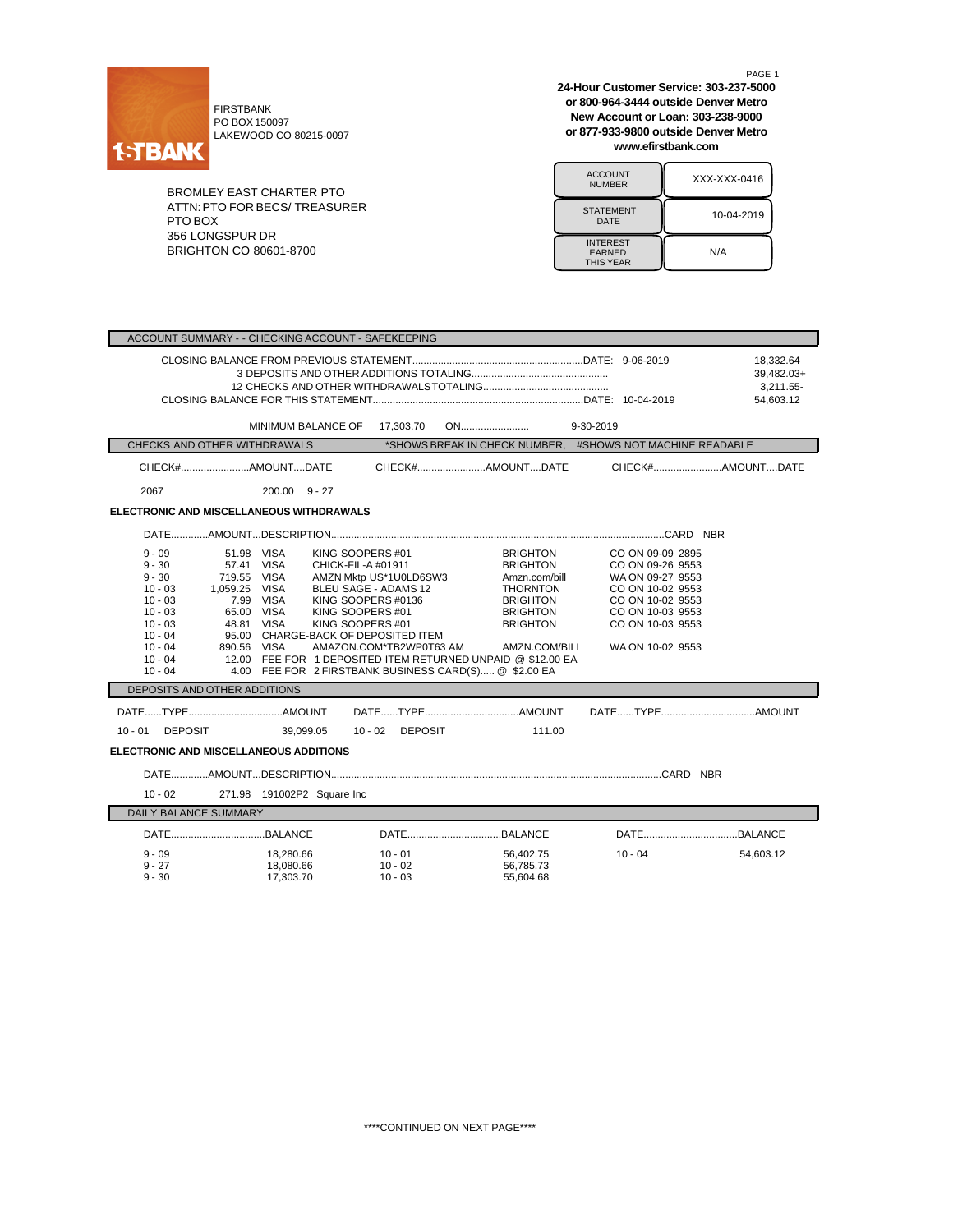

FIRSTBANK PO BOX 150097 LAKEWOOD CO 80215-0097

BROMLEY EAST CHARTER PTO ATTN:PTO FOR BECS/ TREASURER PTO BOX 356 LONGSPUR DR BRIGHTON CO 80601-8700

PAGE 1 **24-Hour Customer Service: 303-237-5000 or 800-964-3444 outside Denver Metro New Account or Loan: 303-238-9000 or 877-933-9800 outside Denver Metro www.efirstbank.com**

ACCOUNT<br>NUMBER XXX-XXX-0416 STATEMENT | 10-04-2019 INTEREST EARNED THIS YEAR N/A

| ACCOUNT SUMMARY - - CHECKING ACCOUNT - SAFEKEEPING                                                                                                                                      |                                                                                                                                                                                                                                                                                                                                          |                                                                           |                                                                                                                                                  |                                                                                                                                                              |                                                   |
|-----------------------------------------------------------------------------------------------------------------------------------------------------------------------------------------|------------------------------------------------------------------------------------------------------------------------------------------------------------------------------------------------------------------------------------------------------------------------------------------------------------------------------------------|---------------------------------------------------------------------------|--------------------------------------------------------------------------------------------------------------------------------------------------|--------------------------------------------------------------------------------------------------------------------------------------------------------------|---------------------------------------------------|
|                                                                                                                                                                                         |                                                                                                                                                                                                                                                                                                                                          |                                                                           |                                                                                                                                                  |                                                                                                                                                              | 18,332.64<br>39,482.03+<br>3,211.55-<br>54,603.12 |
|                                                                                                                                                                                         | MINIMUM BALANCE OF                                                                                                                                                                                                                                                                                                                       | 17,303.70                                                                 |                                                                                                                                                  |                                                                                                                                                              |                                                   |
| CHECKS AND OTHER WITHDRAWALS                                                                                                                                                            |                                                                                                                                                                                                                                                                                                                                          |                                                                           |                                                                                                                                                  | *SHOWS BREAK IN CHECK NUMBER, #SHOWS NOT MACHINE READABLE                                                                                                    |                                                   |
| CHECK#AMOUNTDATE                                                                                                                                                                        |                                                                                                                                                                                                                                                                                                                                          | CHECK#AMOUNTDATE                                                          |                                                                                                                                                  | CHECK#AMOUNTDATE                                                                                                                                             |                                                   |
| 2067                                                                                                                                                                                    | $200.00 \quad 9 - 27$                                                                                                                                                                                                                                                                                                                    |                                                                           |                                                                                                                                                  |                                                                                                                                                              |                                                   |
| ELECTRONIC AND MISCELLANEOUS WITHDRAWALS                                                                                                                                                |                                                                                                                                                                                                                                                                                                                                          |                                                                           |                                                                                                                                                  |                                                                                                                                                              |                                                   |
|                                                                                                                                                                                         |                                                                                                                                                                                                                                                                                                                                          |                                                                           |                                                                                                                                                  |                                                                                                                                                              |                                                   |
| $9 - 09$<br>$9 - 30$<br>$9 - 30$<br>719.55 VISA<br>1,059.25 VISA<br>$10 - 03$<br>$10 - 03$<br>$10 - 03$<br>$10 - 03$<br>$10 - 04$<br>$10 - 04$<br>890.56 VISA<br>$10 - 04$<br>$10 - 04$ | KING SOOPERS #01<br>51.98 VISA<br>57.41 VISA<br>CHICK-FIL-A #01911<br>7.99 VISA<br>KING SOOPERS #0136<br>65.00 VISA<br>KING SOOPERS #01<br>KING SOOPERS #01<br>48.81 VISA<br>95.00 CHARGE-BACK OF DEPOSITED ITEM<br>12.00 FEE FOR 1 DEPOSITED ITEM RETURNED UNPAID @ \$12.00 EA<br>4.00 FEE FOR 2 FIRSTBANK BUSINESS CARD(S) @ \$2.00 EA | AMZN Mktp US*1U0LD6SW3<br>BLEU SAGE - ADAMS 12<br>AMAZON.COM*TB2WP0T63 AM | <b>BRIGHTON</b><br><b>BRIGHTON</b><br>Amzn.com/bill<br><b>THORNTON</b><br><b>BRIGHTON</b><br><b>BRIGHTON</b><br><b>BRIGHTON</b><br>AMZN.COM/BILL | CO ON 09-09 2895<br>CO ON 09-26 9553<br>WA ON 09-27 9553<br>CO ON 10-02 9553<br>CO ON 10-02 9553<br>CO ON 10-03 9553<br>CO ON 10-03 9553<br>WA ON 10-02 9553 |                                                   |
| DEPOSITS AND OTHER ADDITIONS                                                                                                                                                            |                                                                                                                                                                                                                                                                                                                                          |                                                                           |                                                                                                                                                  |                                                                                                                                                              |                                                   |
|                                                                                                                                                                                         |                                                                                                                                                                                                                                                                                                                                          |                                                                           |                                                                                                                                                  |                                                                                                                                                              |                                                   |
| 10 - 01 DEPOSIT                                                                                                                                                                         | 39.099.05                                                                                                                                                                                                                                                                                                                                | 10 - 02 DEPOSIT                                                           | 111.00                                                                                                                                           |                                                                                                                                                              |                                                   |
| ELECTRONIC AND MISCELLANEOUS ADDITIONS                                                                                                                                                  |                                                                                                                                                                                                                                                                                                                                          |                                                                           |                                                                                                                                                  |                                                                                                                                                              |                                                   |
|                                                                                                                                                                                         |                                                                                                                                                                                                                                                                                                                                          |                                                                           |                                                                                                                                                  |                                                                                                                                                              |                                                   |
| $10 - 02$                                                                                                                                                                               | 271.98 191002P2 Square Inc                                                                                                                                                                                                                                                                                                               |                                                                           |                                                                                                                                                  |                                                                                                                                                              |                                                   |
| <b>DAILY BALANCE SUMMARY</b>                                                                                                                                                            |                                                                                                                                                                                                                                                                                                                                          |                                                                           |                                                                                                                                                  |                                                                                                                                                              |                                                   |
|                                                                                                                                                                                         |                                                                                                                                                                                                                                                                                                                                          |                                                                           |                                                                                                                                                  |                                                                                                                                                              |                                                   |
| $9 - 09$<br>$9 - 27$<br>$9 - 30$                                                                                                                                                        | 18,280.66<br>18,080.66<br>17,303.70                                                                                                                                                                                                                                                                                                      | $10 - 01$<br>$10 - 02$<br>$10 - 03$                                       | 56,402.75<br>56,785.73<br>55,604.68                                                                                                              | $10 - 04$                                                                                                                                                    | 54,603.12                                         |